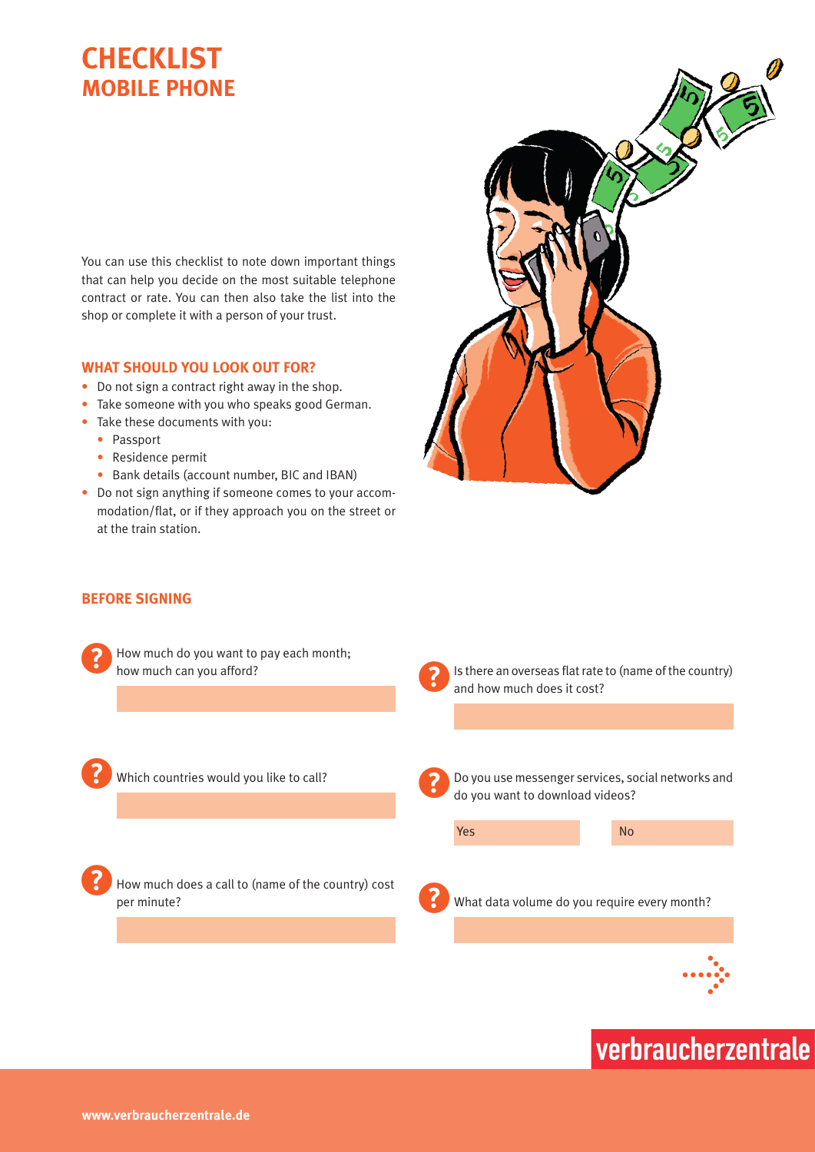# **Checklist Mobile Phone**

You can use this checklist to note down important things that can help you decide on the most suitable telephone contract or rate. You can then also take the list into the shop or complete it with a person of your trust.

### **What should you look out for?**

- Do not sign a contract right away in the shop.
- Take someone with you who speaks good German.
- Take these documents with you:
	- Passport
	- Residence permit
	- Bank details (account number, BIC and IBAN)
- Do not sign anything if someone comes to your accommodation/flat, or if they approach you on the street or at the train station.

verbraucherzentrale

### **Before signing**

| How much do you want to pay each month;<br>how much can you afford? | and how much does it cost?                   | Is there an overseas flat rate to (name of the country) |
|---------------------------------------------------------------------|----------------------------------------------|---------------------------------------------------------|
| Which countries would you like to call?                             | do you want to download videos?              | Do you use messenger services, social networks and      |
|                                                                     | Yes                                          | <b>No</b>                                               |
| How much does a call to (name of the country) cost<br>per minute?   | What data volume do you require every month? |                                                         |
|                                                                     |                                              |                                                         |
|                                                                     |                                              |                                                         |
|                                                                     |                                              |                                                         |